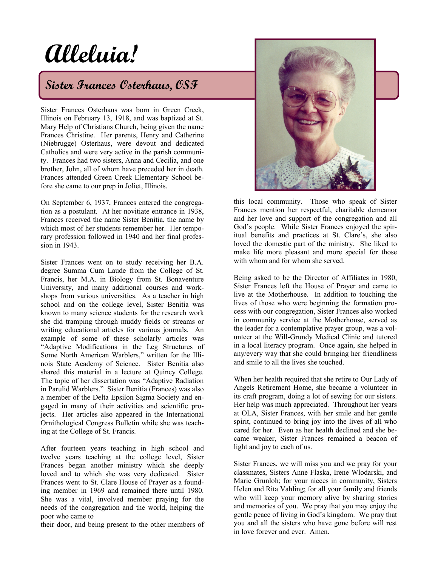# **Alleluia!**

# **Sister Frances Osterhaus, OSF**

Sister Frances Osterhaus was born in Green Creek, Illinois on February 13, 1918, and was baptized at St. Mary Help of Christians Church, being given the name Frances Christine. Her parents, Henry and Catherine (Niebrugge) Osterhaus, were devout and dedicated Catholics and were very active in the parish community. Frances had two sisters, Anna and Cecilia, and one brother, John, all of whom have preceded her in death. Frances attended Green Creek Elementary School before she came to our prep in Joliet, Illinois.

On September 6, 1937, Frances entered the congregation as a postulant. At her novitiate entrance in 1938, Frances received the name Sister Benitia, the name by which most of her students remember her. Her temporary profession followed in 1940 and her final profession in 1943.

Sister Frances went on to study receiving her B.A. degree Summa Cum Laude from the College of St. Francis, her M.A. in Biology from St. Bonaventure University, and many additional courses and workshops from various universities. As a teacher in high school and on the college level, Sister Benitia was known to many science students for the research work she did tramping through muddy fields or streams or writing educational articles for various journals. An example of some of these scholarly articles was "Adaptive Modifications in the Leg Structures of Some North American Warblers," written for the Illinois State Academy of Science. Sister Benitia also shared this material in a lecture at Quincy College. The topic of her dissertation was "Adaptive Radiation in Parulid Warblers." Sister Benitia (Frances) was also a member of the Delta Epsilon Sigma Society and engaged in many of their activities and scientific projects. Her articles also appeared in the International Ornithological Congress Bulletin while she was teaching at the College of St. Francis.

After fourteen years teaching in high school and twelve years teaching at the college level, Sister Frances began another ministry which she deeply loved and to which she was very dedicated. Sister Frances went to St. Clare House of Prayer as a founding member in 1969 and remained there until 1980. She was a vital, involved member praying for the needs of the congregation and the world, helping the poor who came to

their door, and being present to the other members of



this local community. Those who speak of Sister Frances mention her respectful, charitable demeanor and her love and support of the congregation and all God's people. While Sister Frances enjoyed the spiritual benefits and practices at St. Clare's, she also loved the domestic part of the ministry. She liked to make life more pleasant and more special for those with whom and for whom she served.

Being asked to be the Director of Affiliates in 1980, Sister Frances left the House of Prayer and came to live at the Motherhouse. In addition to touching the lives of those who were beginning the formation process with our congregation, Sister Frances also worked in community service at the Motherhouse, served as the leader for a contemplative prayer group, was a volunteer at the Will-Grundy Medical Clinic and tutored in a local literacy program. Once again, she helped in any/every way that she could bringing her friendliness and smile to all the lives she touched.

When her health required that she retire to Our Lady of Angels Retirement Home, she became a volunteer in its craft program, doing a lot of sewing for our sisters. Her help was much appreciated. Throughout her years at OLA, Sister Frances, with her smile and her gentle spirit, continued to bring joy into the lives of all who cared for her. Even as her health declined and she became weaker, Sister Frances remained a beacon of light and joy to each of us.

Sister Frances, we will miss you and we pray for your classmates, Sisters Anne Flaska, Irene Wlodarski, and Marie Grunloh; for your nieces in community, Sisters Helen and Rita Vahling; for all your family and friends who will keep your memory alive by sharing stories and memories of you. We pray that you may enjoy the gentle peace of living in God's kingdom. We pray that you and all the sisters who have gone before will rest in love forever and ever. Amen.